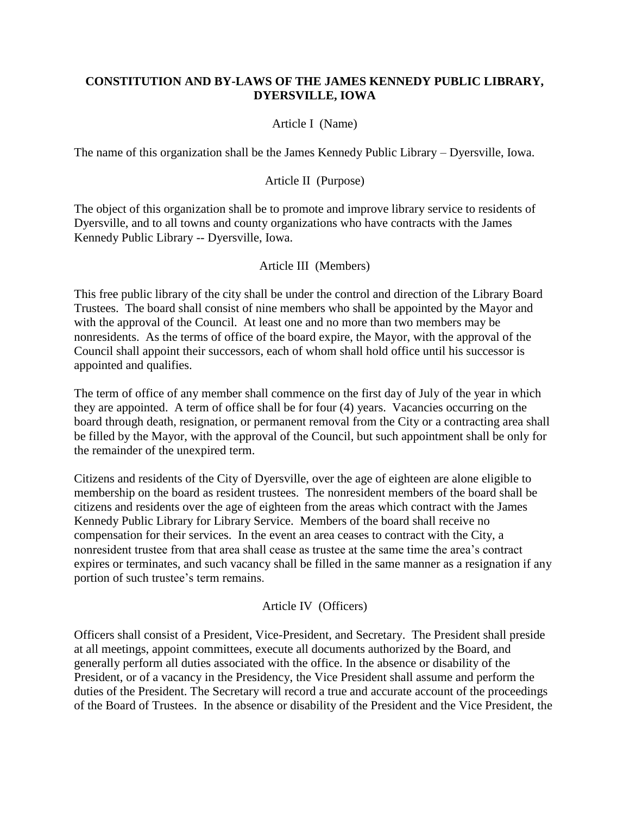## **CONSTITUTION AND BY-LAWS OF THE JAMES KENNEDY PUBLIC LIBRARY, DYERSVILLE, IOWA**

## Article I (Name)

The name of this organization shall be the James Kennedy Public Library – Dyersville, Iowa.

#### Article II (Purpose)

The object of this organization shall be to promote and improve library service to residents of Dyersville, and to all towns and county organizations who have contracts with the James Kennedy Public Library -- Dyersville, Iowa.

#### Article III (Members)

This free public library of the city shall be under the control and direction of the Library Board Trustees. The board shall consist of nine members who shall be appointed by the Mayor and with the approval of the Council. At least one and no more than two members may be nonresidents. As the terms of office of the board expire, the Mayor, with the approval of the Council shall appoint their successors, each of whom shall hold office until his successor is appointed and qualifies.

The term of office of any member shall commence on the first day of July of the year in which they are appointed. A term of office shall be for four (4) years. Vacancies occurring on the board through death, resignation, or permanent removal from the City or a contracting area shall be filled by the Mayor, with the approval of the Council, but such appointment shall be only for the remainder of the unexpired term.

Citizens and residents of the City of Dyersville, over the age of eighteen are alone eligible to membership on the board as resident trustees. The nonresident members of the board shall be citizens and residents over the age of eighteen from the areas which contract with the James Kennedy Public Library for Library Service. Members of the board shall receive no compensation for their services. In the event an area ceases to contract with the City, a nonresident trustee from that area shall cease as trustee at the same time the area's contract expires or terminates, and such vacancy shall be filled in the same manner as a resignation if any portion of such trustee's term remains.

#### Article IV (Officers)

Officers shall consist of a President, Vice-President, and Secretary. The President shall preside at all meetings, appoint committees, execute all documents authorized by the Board, and generally perform all duties associated with the office. In the absence or disability of the President, or of a vacancy in the Presidency, the Vice President shall assume and perform the duties of the President. The Secretary will record a true and accurate account of the proceedings of the Board of Trustees. In the absence or disability of the President and the Vice President, the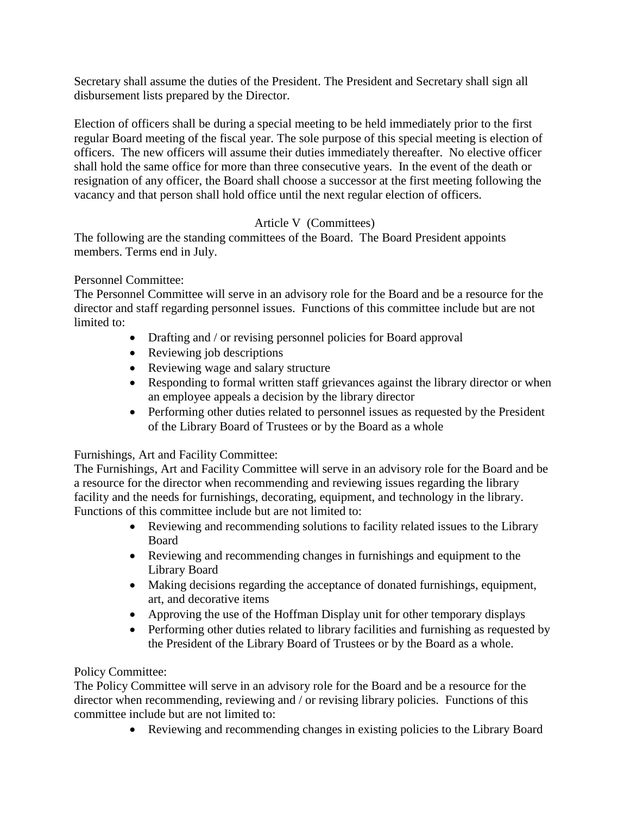Secretary shall assume the duties of the President. The President and Secretary shall sign all disbursement lists prepared by the Director.

Election of officers shall be during a special meeting to be held immediately prior to the first regular Board meeting of the fiscal year. The sole purpose of this special meeting is election of officers. The new officers will assume their duties immediately thereafter. No elective officer shall hold the same office for more than three consecutive years. In the event of the death or resignation of any officer, the Board shall choose a successor at the first meeting following the vacancy and that person shall hold office until the next regular election of officers.

# Article V (Committees)

The following are the standing committees of the Board. The Board President appoints members. Terms end in July.

# Personnel Committee:

The Personnel Committee will serve in an advisory role for the Board and be a resource for the director and staff regarding personnel issues. Functions of this committee include but are not limited to:

- Drafting and / or revising personnel policies for Board approval
- Reviewing job descriptions
- Reviewing wage and salary structure
- Responding to formal written staff grievances against the library director or when an employee appeals a decision by the library director
- Performing other duties related to personnel issues as requested by the President of the Library Board of Trustees or by the Board as a whole

# Furnishings, Art and Facility Committee:

The Furnishings, Art and Facility Committee will serve in an advisory role for the Board and be a resource for the director when recommending and reviewing issues regarding the library facility and the needs for furnishings, decorating, equipment, and technology in the library. Functions of this committee include but are not limited to:

- Reviewing and recommending solutions to facility related issues to the Library Board
- Reviewing and recommending changes in furnishings and equipment to the Library Board
- Making decisions regarding the acceptance of donated furnishings, equipment, art, and decorative items
- Approving the use of the Hoffman Display unit for other temporary displays
- Performing other duties related to library facilities and furnishing as requested by the President of the Library Board of Trustees or by the Board as a whole.

# Policy Committee:

The Policy Committee will serve in an advisory role for the Board and be a resource for the director when recommending, reviewing and / or revising library policies. Functions of this committee include but are not limited to:

• Reviewing and recommending changes in existing policies to the Library Board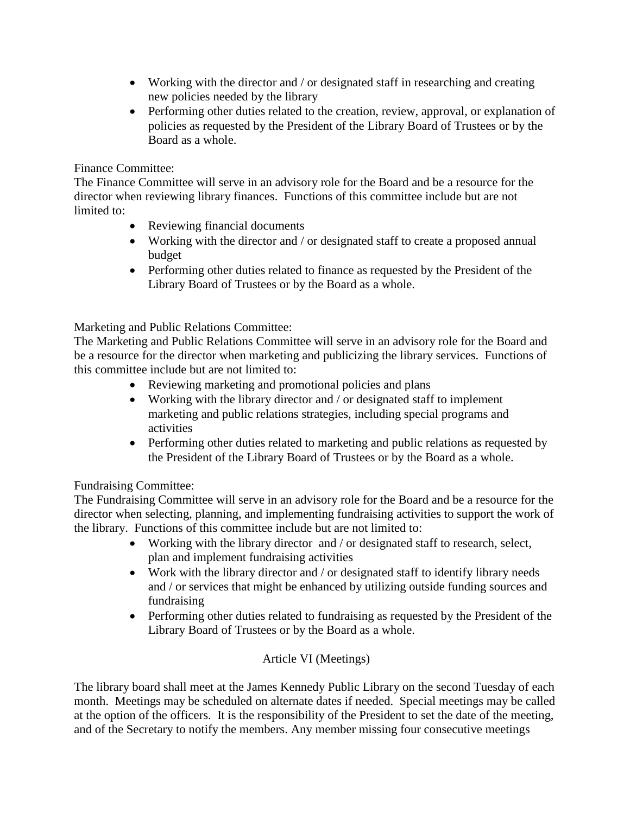- Working with the director and / or designated staff in researching and creating new policies needed by the library
- Performing other duties related to the creation, review, approval, or explanation of policies as requested by the President of the Library Board of Trustees or by the Board as a whole.

# Finance Committee:

The Finance Committee will serve in an advisory role for the Board and be a resource for the director when reviewing library finances. Functions of this committee include but are not limited to:

- Reviewing financial documents
- Working with the director and / or designated staff to create a proposed annual budget
- Performing other duties related to finance as requested by the President of the Library Board of Trustees or by the Board as a whole.

Marketing and Public Relations Committee:

The Marketing and Public Relations Committee will serve in an advisory role for the Board and be a resource for the director when marketing and publicizing the library services. Functions of this committee include but are not limited to:

- Reviewing marketing and promotional policies and plans
- Working with the library director and / or designated staff to implement marketing and public relations strategies, including special programs and activities
- Performing other duties related to marketing and public relations as requested by the President of the Library Board of Trustees or by the Board as a whole.

# Fundraising Committee:

The Fundraising Committee will serve in an advisory role for the Board and be a resource for the director when selecting, planning, and implementing fundraising activities to support the work of the library. Functions of this committee include but are not limited to:

- Working with the library director and / or designated staff to research, select, plan and implement fundraising activities
- Work with the library director and / or designated staff to identify library needs and / or services that might be enhanced by utilizing outside funding sources and fundraising
- Performing other duties related to fundraising as requested by the President of the Library Board of Trustees or by the Board as a whole.

# Article VI (Meetings)

The library board shall meet at the James Kennedy Public Library on the second Tuesday of each month. Meetings may be scheduled on alternate dates if needed. Special meetings may be called at the option of the officers. It is the responsibility of the President to set the date of the meeting, and of the Secretary to notify the members. Any member missing four consecutive meetings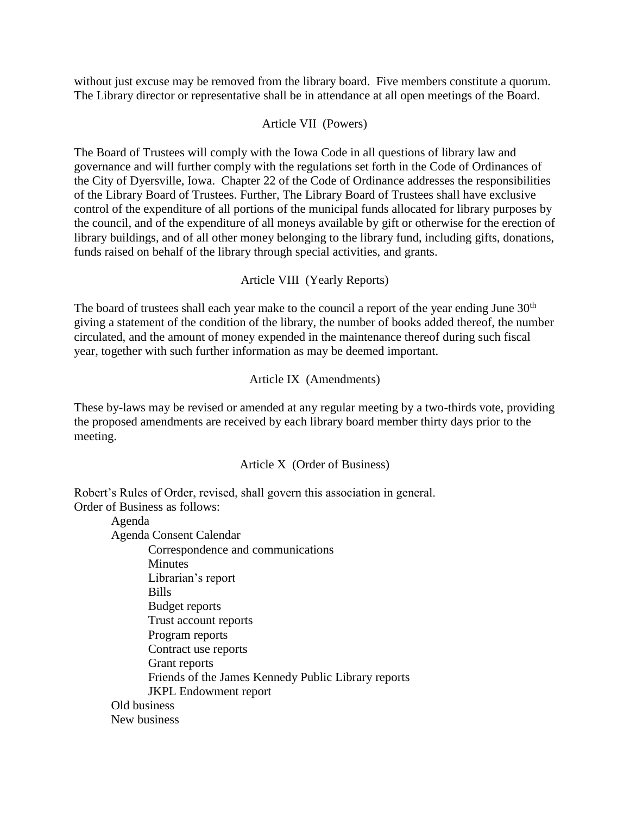without just excuse may be removed from the library board. Five members constitute a quorum. The Library director or representative shall be in attendance at all open meetings of the Board.

## Article VII (Powers)

The Board of Trustees will comply with the Iowa Code in all questions of library law and governance and will further comply with the regulations set forth in the Code of Ordinances of the City of Dyersville, Iowa. Chapter 22 of the Code of Ordinance addresses the responsibilities of the Library Board of Trustees. Further, The Library Board of Trustees shall have exclusive control of the expenditure of all portions of the municipal funds allocated for library purposes by the council, and of the expenditure of all moneys available by gift or otherwise for the erection of library buildings, and of all other money belonging to the library fund, including gifts, donations, funds raised on behalf of the library through special activities, and grants.

Article VIII (Yearly Reports)

The board of trustees shall each year make to the council a report of the year ending June  $30<sup>th</sup>$ giving a statement of the condition of the library, the number of books added thereof, the number circulated, and the amount of money expended in the maintenance thereof during such fiscal year, together with such further information as may be deemed important.

Article IX (Amendments)

These by-laws may be revised or amended at any regular meeting by a two-thirds vote, providing the proposed amendments are received by each library board member thirty days prior to the meeting.

Article X (Order of Business)

Robert's Rules of Order, revised, shall govern this association in general.

Order of Business as follows:

Agenda

Agenda Consent Calendar Correspondence and communications

**Minutes** Librarian's report Bills Budget reports Trust account reports Program reports Contract use reports Grant reports Friends of the James Kennedy Public Library reports JKPL Endowment report Old business New business